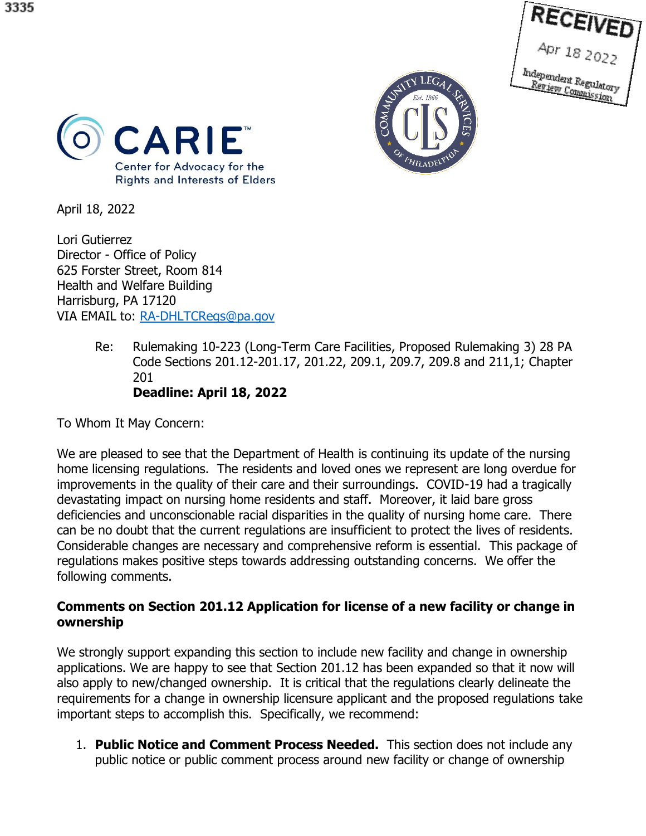





April 18, 2022

Lori Gutierrez Director - Office of Policy 625 Forster Street, Room 814 Health and Welfare Building Harrisburg, PA 17120 VIA EMAIL to: [RA-DHLTCRegs@pa.gov](mailto:RA-DHLTCRegs@pa.gov) 

> Re: Rulemaking 10-223 (Long-Term Care Facilities, Proposed Rulemaking 3) 28 PA Code Sections 201.12-201.17, 201.22, 209.1, 209.7, 209.8 and 211,1; Chapter 201 **Deadline: April 18, 2022**

To Whom It May Concern:

We are pleased to see that the Department of Health is continuing its update of the nursing home licensing regulations. The residents and loved ones we represent are long overdue for improvements in the quality of their care and their surroundings. COVID-19 had a tragically devastating impact on nursing home residents and staff. Moreover, it laid bare gross deficiencies and unconscionable racial disparities in the quality of nursing home care. There can be no doubt that the current regulations are insufficient to protect the lives of residents. Considerable changes are necessary and comprehensive reform is essential. This package of regulations makes positive steps towards addressing outstanding concerns. We offer the following comments.

# **Comments on Section 201.12 Application for license of a new facility or change in ownership**

We strongly support expanding this section to include new facility and change in ownership applications. We are happy to see that Section 201.12 has been expanded so that it now will also apply to new/changed ownership. It is critical that the regulations clearly delineate the requirements for a change in ownership licensure applicant and the proposed regulations take important steps to accomplish this. Specifically, we recommend:

1. **Public Notice and Comment Process Needed.** This section does not include any public notice or public comment process around new facility or change of ownership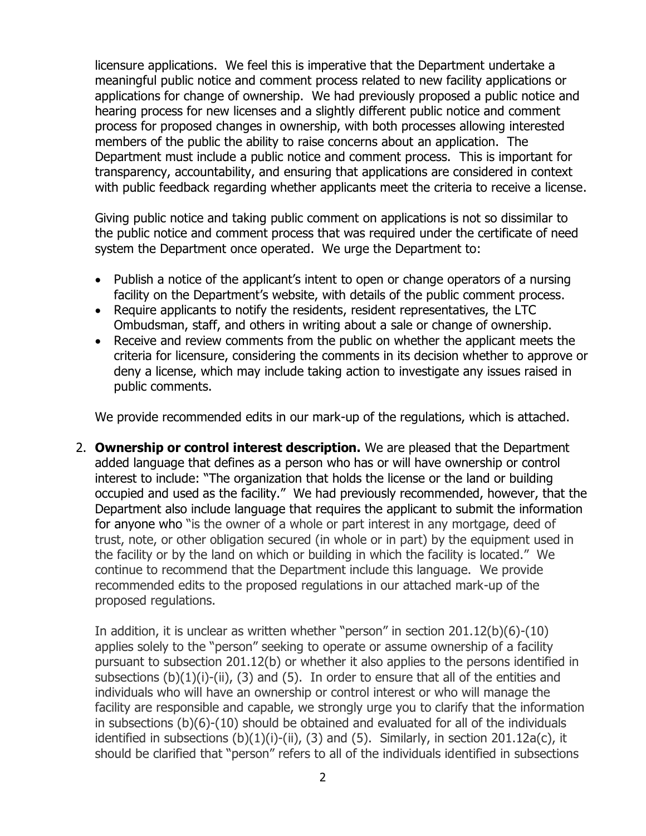licensure applications. We feel this is imperative that the Department undertake a meaningful public notice and comment process related to new facility applications or applications for change of ownership. We had previously proposed a public notice and hearing process for new licenses and a slightly different public notice and comment process for proposed changes in ownership, with both processes allowing interested members of the public the ability to raise concerns about an application. The Department must include a public notice and comment process. This is important for transparency, accountability, and ensuring that applications are considered in context with public feedback regarding whether applicants meet the criteria to receive a license.

Giving public notice and taking public comment on applications is not so dissimilar to the public notice and comment process that was required under the certificate of need system the Department once operated. We urge the Department to:

- Publish a notice of the applicant's intent to open or change operators of a nursing facility on the Department's website, with details of the public comment process.
- Require applicants to notify the residents, resident representatives, the LTC Ombudsman, staff, and others in writing about a sale or change of ownership.
- Receive and review comments from the public on whether the applicant meets the criteria for licensure, considering the comments in its decision whether to approve or deny a license, which may include taking action to investigate any issues raised in public comments.

We provide recommended edits in our mark-up of the regulations, which is attached.

2. **Ownership or control interest description.** We are pleased that the Department added language that defines as a person who has or will have ownership or control interest to include: "The organization that holds the license or the land or building occupied and used as the facility." We had previously recommended, however, that the Department also include language that requires the applicant to submit the information for anyone who "is the owner of a whole or part interest in any mortgage, deed of trust, note, or other obligation secured (in whole or in part) by the equipment used in the facility or by the land on which or building in which the facility is located." We continue to recommend that the Department include this language. We provide recommended edits to the proposed regulations in our attached mark-up of the proposed regulations.

In addition, it is unclear as written whether "person" in section 201.12(b)(6)-(10) applies solely to the "person" seeking to operate or assume ownership of a facility pursuant to subsection 201.12(b) or whether it also applies to the persons identified in subsections  $(b)(1)(i)-(ii)$ ,  $(3)$  and  $(5)$ . In order to ensure that all of the entities and individuals who will have an ownership or control interest or who will manage the facility are responsible and capable, we strongly urge you to clarify that the information in subsections (b)(6)-(10) should be obtained and evaluated for all of the individuals identified in subsections  $(b)(1)(i)$ -(ii), (3) and (5). Similarly, in section 201.12a(c), it should be clarified that "person" refers to all of the individuals identified in subsections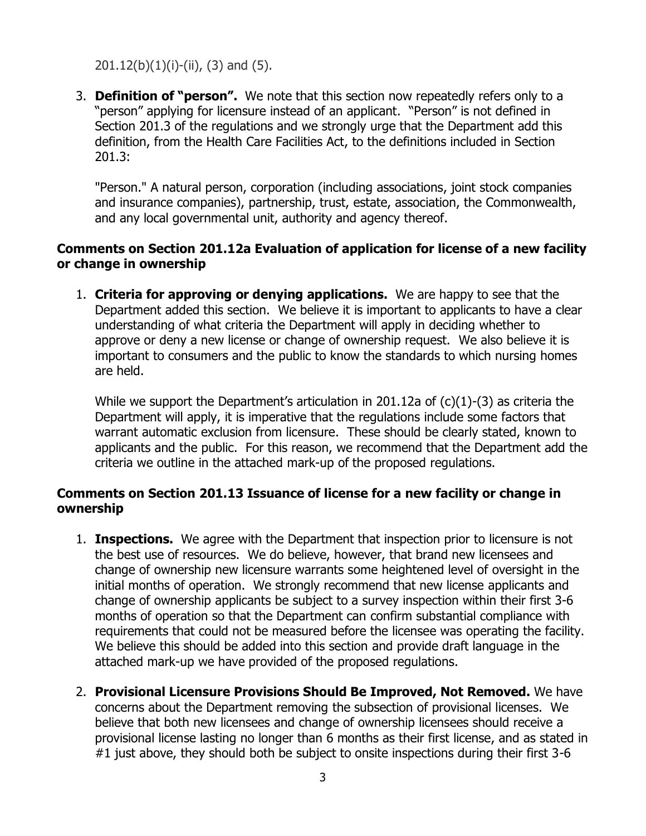# $201.12(b)(1)(i)-(ii)$ , (3) and (5).

3. **Definition of "person".** We note that this section now repeatedly refers only to a "person" applying for licensure instead of an applicant. "Person" is not defined in Section 201.3 of the regulations and we strongly urge that the Department add this definition, from the Health Care Facilities Act, to the definitions included in Section 201.3:

"Person." A natural person, corporation (including associations, joint stock companies and insurance companies), partnership, trust, estate, association, the Commonwealth, and any local governmental unit, authority and agency thereof.

# **Comments on Section 201.12a Evaluation of application for license of a new facility or change in ownership**

1. **Criteria for approving or denying applications.** We are happy to see that the Department added this section. We believe it is important to applicants to have a clear understanding of what criteria the Department will apply in deciding whether to approve or deny a new license or change of ownership request. We also believe it is important to consumers and the public to know the standards to which nursing homes are held.

While we support the Department's articulation in 201.12a of  $(c)(1)-(3)$  as criteria the Department will apply, it is imperative that the regulations include some factors that warrant automatic exclusion from licensure. These should be clearly stated, known to applicants and the public. For this reason, we recommend that the Department add the criteria we outline in the attached mark-up of the proposed regulations.

# **Comments on Section 201.13 Issuance of license for a new facility or change in ownership**

- 1. **Inspections.** We agree with the Department that inspection prior to licensure is not the best use of resources. We do believe, however, that brand new licensees and change of ownership new licensure warrants some heightened level of oversight in the initial months of operation. We strongly recommend that new license applicants and change of ownership applicants be subject to a survey inspection within their first 3-6 months of operation so that the Department can confirm substantial compliance with requirements that could not be measured before the licensee was operating the facility. We believe this should be added into this section and provide draft language in the attached mark-up we have provided of the proposed regulations.
- 2. **Provisional Licensure Provisions Should Be Improved, Not Removed.** We have concerns about the Department removing the subsection of provisional licenses. We believe that both new licensees and change of ownership licensees should receive a provisional license lasting no longer than 6 months as their first license, and as stated in #1 just above, they should both be subject to onsite inspections during their first 3-6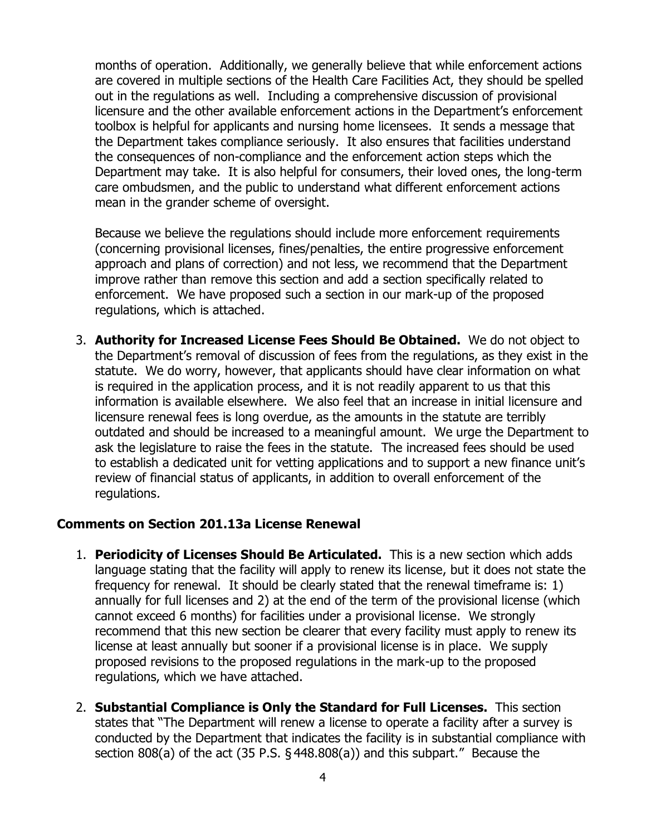months of operation. Additionally, we generally believe that while enforcement actions are covered in multiple sections of the Health Care Facilities Act, they should be spelled out in the regulations as well. Including a comprehensive discussion of provisional licensure and the other available enforcement actions in the Department's enforcement toolbox is helpful for applicants and nursing home licensees. It sends a message that the Department takes compliance seriously. It also ensures that facilities understand the consequences of non-compliance and the enforcement action steps which the Department may take. It is also helpful for consumers, their loved ones, the long-term care ombudsmen, and the public to understand what different enforcement actions mean in the grander scheme of oversight.

Because we believe the regulations should include more enforcement requirements (concerning provisional licenses, fines/penalties, the entire progressive enforcement approach and plans of correction) and not less, we recommend that the Department improve rather than remove this section and add a section specifically related to enforcement. We have proposed such a section in our mark-up of the proposed regulations, which is attached.

3. **Authority for Increased License Fees Should Be Obtained.** We do not object to the Department's removal of discussion of fees from the regulations, as they exist in the statute. We do worry, however, that applicants should have clear information on what is required in the application process, and it is not readily apparent to us that this information is available elsewhere. We also feel that an increase in initial licensure and licensure renewal fees is long overdue, as the amounts in the statute are terribly outdated and should be increased to a meaningful amount. We urge the Department to ask the legislature to raise the fees in the statute. The increased fees should be used to establish a dedicated unit for vetting applications and to support a new finance unit's review of financial status of applicants, in addition to overall enforcement of the regulations.

# **Comments on Section 201.13a License Renewal**

- 1. **Periodicity of Licenses Should Be Articulated.** This is a new section which adds language stating that the facility will apply to renew its license, but it does not state the frequency for renewal. It should be clearly stated that the renewal timeframe is: 1) annually for full licenses and 2) at the end of the term of the provisional license (which cannot exceed 6 months) for facilities under a provisional license. We strongly recommend that this new section be clearer that every facility must apply to renew its license at least annually but sooner if a provisional license is in place. We supply proposed revisions to the proposed regulations in the mark-up to the proposed regulations, which we have attached.
- 2. **Substantial Compliance is Only the Standard for Full Licenses.** This section states that "The Department will renew a license to operate a facility after a survey is conducted by the Department that indicates the facility is in substantial compliance with section 808(a) of the act (35 P.S. § 448.808(a)) and this subpart." Because the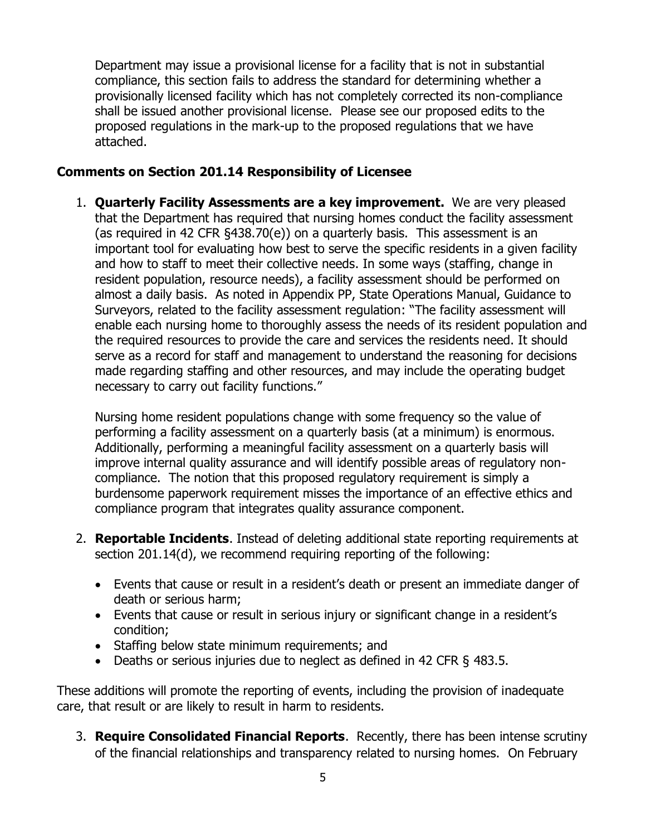Department may issue a provisional license for a facility that is not in substantial compliance, this section fails to address the standard for determining whether a provisionally licensed facility which has not completely corrected its non-compliance shall be issued another provisional license. Please see our proposed edits to the proposed regulations in the mark-up to the proposed regulations that we have attached.

# **Comments on Section 201.14 Responsibility of Licensee**

1. **Quarterly Facility Assessments are a key improvement.** We are very pleased that the Department has required that nursing homes conduct the facility assessment (as required in 42 CFR §438.70(e)) on a quarterly basis. This assessment is an important tool for evaluating how best to serve the specific residents in a given facility and how to staff to meet their collective needs. In some ways (staffing, change in resident population, resource needs), a facility assessment should be performed on almost a daily basis. As noted in Appendix PP, State Operations Manual, Guidance to Surveyors, related to the facility assessment regulation: "The facility assessment will enable each nursing home to thoroughly assess the needs of its resident population and the required resources to provide the care and services the residents need. It should serve as a record for staff and management to understand the reasoning for decisions made regarding staffing and other resources, and may include the operating budget necessary to carry out facility functions."

Nursing home resident populations change with some frequency so the value of performing a facility assessment on a quarterly basis (at a minimum) is enormous. Additionally, performing a meaningful facility assessment on a quarterly basis will improve internal quality assurance and will identify possible areas of regulatory noncompliance. The notion that this proposed regulatory requirement is simply a burdensome paperwork requirement misses the importance of an effective ethics and compliance program that integrates quality assurance component.

- 2. **Reportable Incidents**. Instead of deleting additional state reporting requirements at section 201.14(d), we recommend requiring reporting of the following:
	- Events that cause or result in a resident's death or present an immediate danger of death or serious harm;
	- Events that cause or result in serious injury or significant change in a resident's condition;
	- Staffing below state minimum requirements; and
	- Deaths or serious injuries due to neglect as defined in 42 CFR § 483.5.

These additions will promote the reporting of events, including the provision of inadequate care, that result or are likely to result in harm to residents.

3. **Require Consolidated Financial Reports**. Recently, there has been intense scrutiny of the financial relationships and transparency related to nursing homes. On February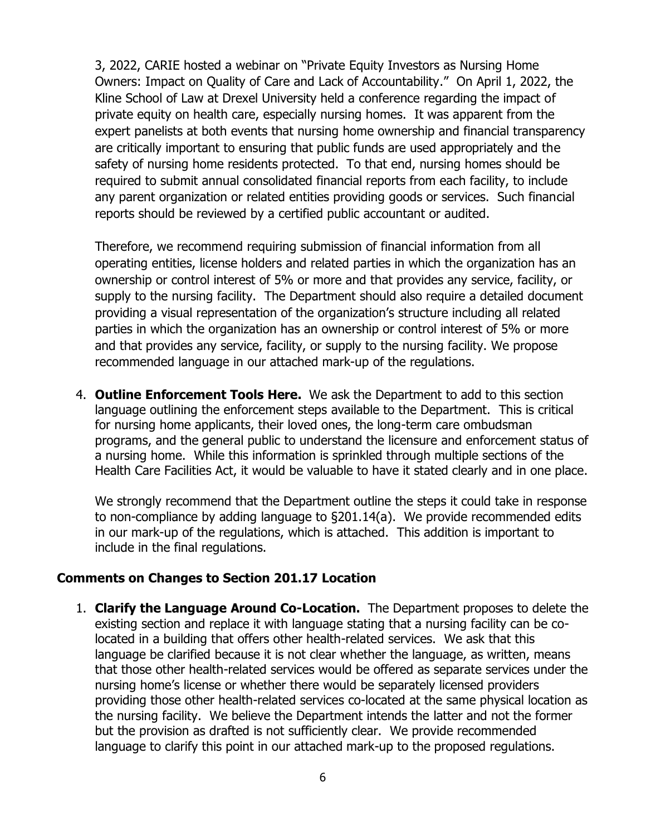3, 2022, CARIE hosted a webinar on "Private Equity Investors as Nursing Home Owners: Impact on Quality of Care and Lack of Accountability." On April 1, 2022, the Kline School of Law at Drexel University held a conference regarding the impact of private equity on health care, especially nursing homes. It was apparent from the expert panelists at both events that nursing home ownership and financial transparency are critically important to ensuring that public funds are used appropriately and the safety of nursing home residents protected. To that end, nursing homes should be required to submit annual consolidated financial reports from each facility, to include any parent organization or related entities providing goods or services. Such financial reports should be reviewed by a certified public accountant or audited.

Therefore, we recommend requiring submission of financial information from all operating entities, license holders and related parties in which the organization has an ownership or control interest of 5% or more and that provides any service, facility, or supply to the nursing facility. The Department should also require a detailed document providing a visual representation of the organization's structure including all related parties in which the organization has an ownership or control interest of 5% or more and that provides any service, facility, or supply to the nursing facility. We propose recommended language in our attached mark-up of the regulations.

4. **Outline Enforcement Tools Here.** We ask the Department to add to this section language outlining the enforcement steps available to the Department. This is critical for nursing home applicants, their loved ones, the long-term care ombudsman programs, and the general public to understand the licensure and enforcement status of a nursing home. While this information is sprinkled through multiple sections of the Health Care Facilities Act, it would be valuable to have it stated clearly and in one place.

We strongly recommend that the Department outline the steps it could take in response to non-compliance by adding language to §201.14(a). We provide recommended edits in our mark-up of the regulations, which is attached. This addition is important to include in the final regulations.

# **Comments on Changes to Section 201.17 Location**

1. **Clarify the Language Around Co-Location.** The Department proposes to delete the existing section and replace it with language stating that a nursing facility can be colocated in a building that offers other health-related services. We ask that this language be clarified because it is not clear whether the language, as written, means that those other health-related services would be offered as separate services under the nursing home's license or whether there would be separately licensed providers providing those other health-related services co-located at the same physical location as the nursing facility. We believe the Department intends the latter and not the former but the provision as drafted is not sufficiently clear. We provide recommended language to clarify this point in our attached mark-up to the proposed regulations.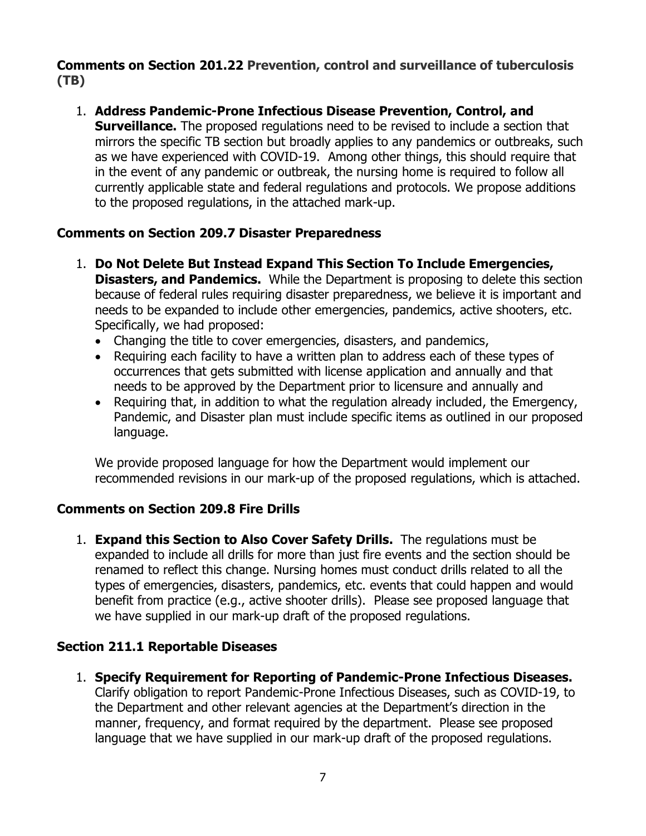# **Comments on Section 201.22 Prevention, control and surveillance of tuberculosis (TB)**

1. **Address Pandemic-Prone Infectious Disease Prevention, Control, and Surveillance.** The proposed regulations need to be revised to include a section that mirrors the specific TB section but broadly applies to any pandemics or outbreaks, such as we have experienced with COVID-19. Among other things, this should require that in the event of any pandemic or outbreak, the nursing home is required to follow all currently applicable state and federal regulations and protocols. We propose additions to the proposed regulations, in the attached mark-up.

# **Comments on Section 209.7 Disaster Preparedness**

- 1. **Do Not Delete But Instead Expand This Section To Include Emergencies, Disasters, and Pandemics.** While the Department is proposing to delete this section because of federal rules requiring disaster preparedness, we believe it is important and needs to be expanded to include other emergencies, pandemics, active shooters, etc. Specifically, we had proposed:
	- Changing the title to cover emergencies, disasters, and pandemics,
	- Requiring each facility to have a written plan to address each of these types of occurrences that gets submitted with license application and annually and that needs to be approved by the Department prior to licensure and annually and
	- Requiring that, in addition to what the regulation already included, the Emergency, Pandemic, and Disaster plan must include specific items as outlined in our proposed language.

We provide proposed language for how the Department would implement our recommended revisions in our mark-up of the proposed regulations, which is attached.

# **Comments on Section 209.8 Fire Drills**

1. **Expand this Section to Also Cover Safety Drills.** The regulations must be expanded to include all drills for more than just fire events and the section should be renamed to reflect this change. Nursing homes must conduct drills related to all the types of emergencies, disasters, pandemics, etc. events that could happen and would benefit from practice (e.g., active shooter drills). Please see proposed language that we have supplied in our mark-up draft of the proposed regulations.

# **Section 211.1 Reportable Diseases**

1. **Specify Requirement for Reporting of Pandemic-Prone Infectious Diseases.** Clarify obligation to report Pandemic-Prone Infectious Diseases, such as COVID-19, to the Department and other relevant agencies at the Department's direction in the manner, frequency, and format required by the department. Please see proposed language that we have supplied in our mark-up draft of the proposed regulations.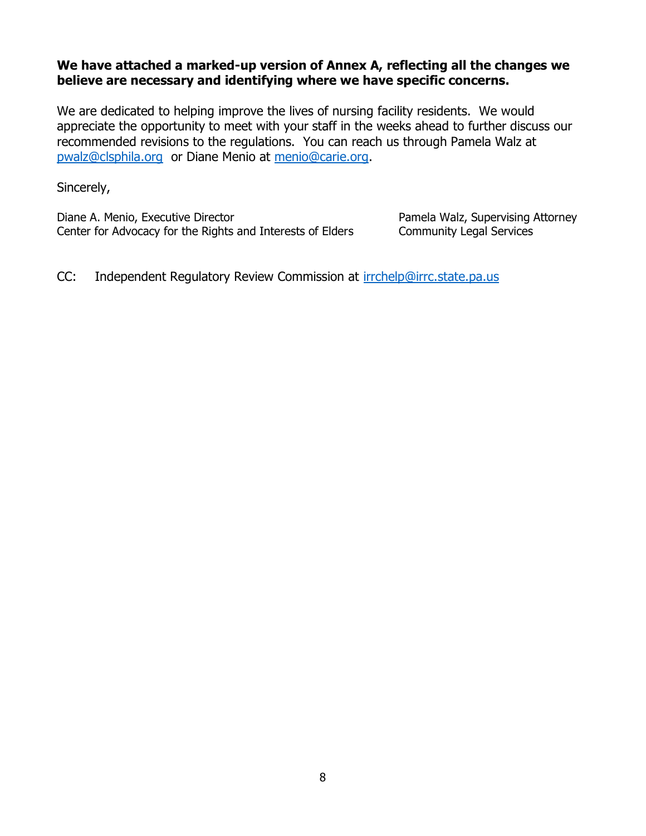# **We have attached a marked-up version of Annex A, reflecting all the changes we believe are necessary and identifying where we have specific concerns.**

We are dedicated to helping improve the lives of nursing facility residents. We would appreciate the opportunity to meet with your staff in the weeks ahead to further discuss our recommended revisions to the regulations. You can reach us through Pamela Walz at [pwalz@clsphila.org](mailto:pwalz@clsphila.org) or Diane Menio at [menio@carie.org.](mailto:menio@carie.org)

Sincerely,

Diane A. Menio, Executive Director **Pamela Walz, Supervising Attorney** Center for Advocacy for the Rights and Interests of Elders Community Legal Services

CC: Independent Regulatory Review Commission at [irrchelp@irrc.state.pa.us](mailto:irrchelp@irrc.state.pa.us)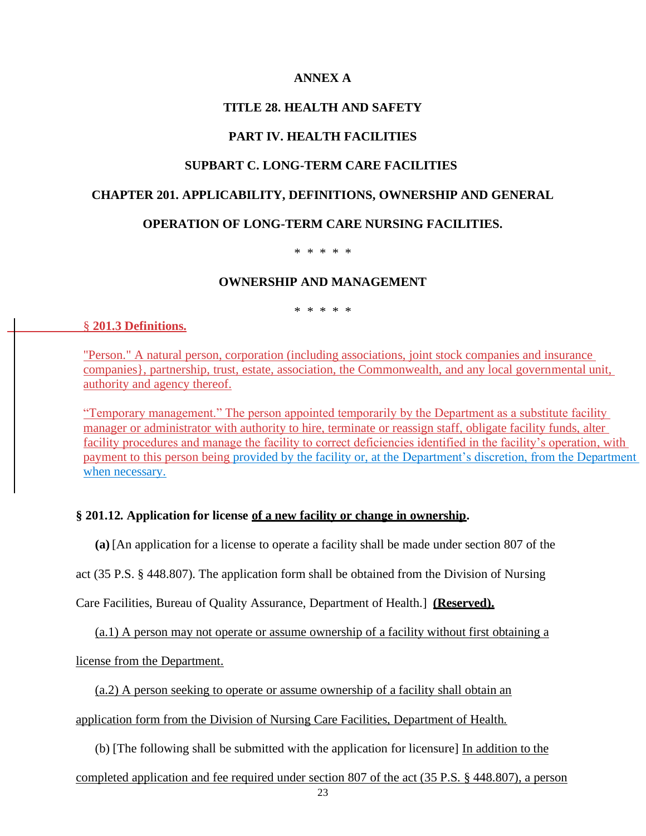## **ANNEX A**

## **TITLE 28. HEALTH AND SAFETY**

## **PART IV. HEALTH FACILITIES**

## **SUPBART C. LONG-TERM CARE FACILITIES**

#### **CHAPTER 201. APPLICABILITY, DEFINITIONS, OWNERSHIP AND GENERAL**

#### **OPERATION OF LONG-TERM CARE NURSING FACILITIES.**

#### \* \* \* \* \*

#### **OWNERSHIP AND MANAGEMENT**

\* \* \* \* \*

#### § **201.3 Definitions.**

"Person." A natural person, corporation (including associations, joint stock companies and insurance companies}, partnership, trust, estate, association, the Commonwealth, and any local governmental unit, authority and agency thereof.

"Temporary management." The person appointed temporarily by the Department as a substitute facility manager or administrator with authority to hire, terminate or reassign staff, obligate facility funds, alter facility procedures and manage the facility to correct deficiencies identified in the facility's operation, with payment to this person being provided by the facility or, at the Department's discretion, from the Department when necessary.

#### **§ 201.12. Application for license of a new facility or change in ownership.**

**(a)** [An application for a license to operate a facility shall be made under section 807 of the

act (35 P.S. § 448.807). The application form shall be obtained from the Division of Nursing

Care Facilities, Bureau of Quality Assurance, Department of Health.] **(Reserved).**

(a.1) A person may not operate or assume ownership of a facility without first obtaining a

license from the Department.

(a.2) A person seeking to operate or assume ownership of a facility shall obtain an

application form from the Division of Nursing Care Facilities, Department of Health.

(b) [The following shall be submitted with the application for licensure] In addition to the

completed application and fee required under section 807 of the act (35 P.S. § 448.807), a person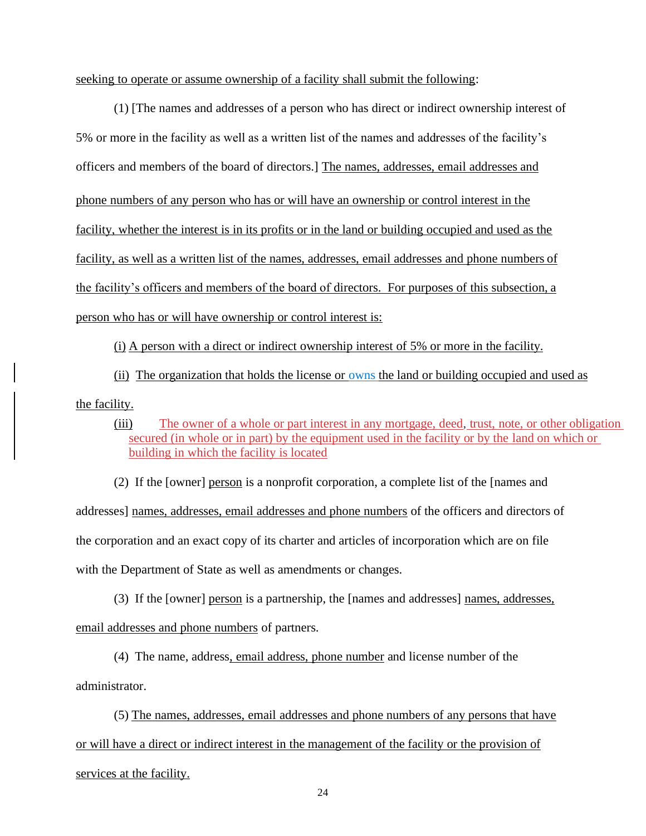seeking to operate or assume ownership of a facility shall submit the following:

(1) [The names and addresses of a person who has direct or indirect ownership interest of 5% or more in the facility as well as a written list of the names and addresses of the facility's officers and members of the board of directors.] The names, addresses, email addresses and phone numbers of any person who has or will have an ownership or control interest in the facility, whether the interest is in its profits or in the land or building occupied and used as the facility, as well as a written list of the names, addresses, email addresses and phone numbers of the facility's officers and members of the board of directors. For purposes of this subsection, a person who has or will have ownership or control interest is:

(ii) The organization that holds the license or owns the land or building occupied and used as the facility.

(i) A person with a direct or indirect ownership interest of 5% or more in the facility.

(iii) The owner of a whole or part interest in any mortgage, deed, trust, note, or other obligation secured (in whole or in part) by the equipment used in the facility or by the land on which or building in which the facility is located

(2) If the [owner] person is a nonprofit corporation, a complete list of the [names and addresses] names, addresses, email addresses and phone numbers of the officers and directors of the corporation and an exact copy of its charter and articles of incorporation which are on file with the Department of State as well as amendments or changes.

(3) If the [owner] person is a partnership, the [names and addresses] names, addresses, email addresses and phone numbers of partners.

(4) The name, address, email address, phone number and license number of the administrator.

(5) The names, addresses, email addresses and phone numbers of any persons that have or will have a direct or indirect interest in the management of the facility or the provision of services at the facility.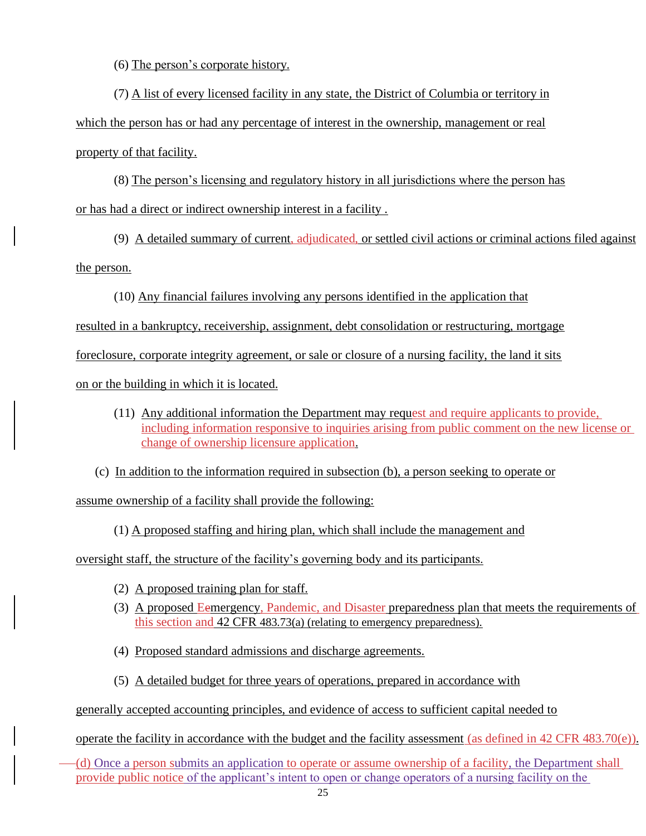(6) The person's corporate history.

(7) A list of every licensed facility in any state, the District of Columbia or territory in which the person has or had any percentage of interest in the ownership, management or real property of that facility.

(8) The person's licensing and regulatory history in all jurisdictions where the person has or has had a direct or indirect ownership interest in a facility .

(9) A detailed summary of current, adjudicated, or settled civil actions or criminal actions filed against the person.

(10) Any financial failures involving any persons identified in the application that

resulted in a bankruptcy, receivership, assignment, debt consolidation or restructuring, mortgage

foreclosure, corporate integrity agreement, or sale or closure of a nursing facility, the land it sits

on or the building in which it is located.

- (11) Any additional information the Department may request and require applicants to provide, including information responsive to inquiries arising from public comment on the new license or change of ownership licensure application.
- (c) In addition to the information required in subsection (b), a person seeking to operate or

assume ownership of a facility shall provide the following:

(1) A proposed staffing and hiring plan, which shall include the management and

oversight staff, the structure of the facility's governing body and its participants.

- (2) A proposed training plan for staff.
- (3) A proposed Eemergency, Pandemic, and Disaster preparedness plan that meets the requirements of this section and 42 CFR 483.73(a) (relating to emergency preparedness).
- (4) Proposed standard admissions and discharge agreements.
- (5) A detailed budget for three years of operations, prepared in accordance with

generally accepted accounting principles, and evidence of access to sufficient capital needed to

operate the facility in accordance with the budget and the facility assessment (as defined in 42 CFR 483.70(e)).

(d) Once a person submits an application to operate or assume ownership of a facility, the Department shall provide public notice of the applicant's intent to open or change operators of a nursing facility on the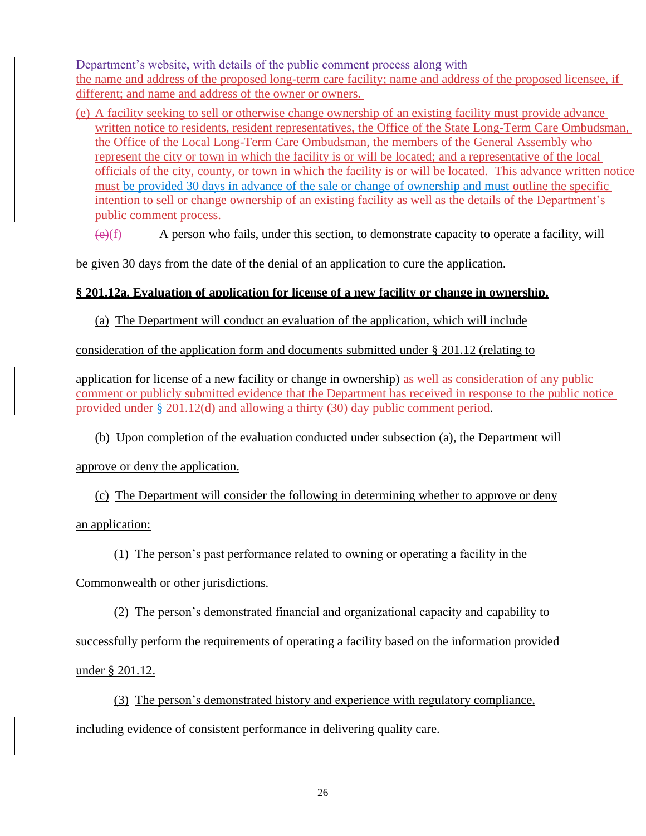Department's website, with details of the public comment process along with the name and address of the proposed long-term care facility; name and address of the proposed licensee, if different; and name and address of the owner or owners.

(e) A facility seeking to sell or otherwise change ownership of an existing facility must provide advance written notice to residents, resident representatives, the Office of the State Long-Term Care Ombudsman, the Office of the Local Long-Term Care Ombudsman, the members of the General Assembly who represent the city or town in which the facility is or will be located; and a representative of the local officials of the city, county, or town in which the facility is or will be located. This advance written notice must be provided 30 days in advance of the sale or change of ownership and must outline the specific intention to sell or change ownership of an existing facility as well as the details of the Department's public comment process.

 $(e)(f)$  A person who fails, under this section, to demonstrate capacity to operate a facility, will

be given 30 days from the date of the denial of an application to cure the application.

# **§ 201.12a. Evaluation of application for license of a new facility or change in ownership.**

(a) The Department will conduct an evaluation of the application, which will include

consideration of the application form and documents submitted under § 201.12 (relating to

application for license of a new facility or change in ownership) as well as consideration of any public comment or publicly submitted evidence that the Department has received in response to the public notice provided under § 201.12(d) and allowing a thirty (30) day public comment period.

(b) Upon completion of the evaluation conducted under subsection (a), the Department will

approve or deny the application.

(c) The Department will consider the following in determining whether to approve or deny

an application:

(1) The person's past performance related to owning or operating a facility in the

Commonwealth or other jurisdictions.

(2) The person's demonstrated financial and organizational capacity and capability to successfully perform the requirements of operating a facility based on the information provided under § 201.12.

(3) The person's demonstrated history and experience with regulatory compliance, including evidence of consistent performance in delivering quality care.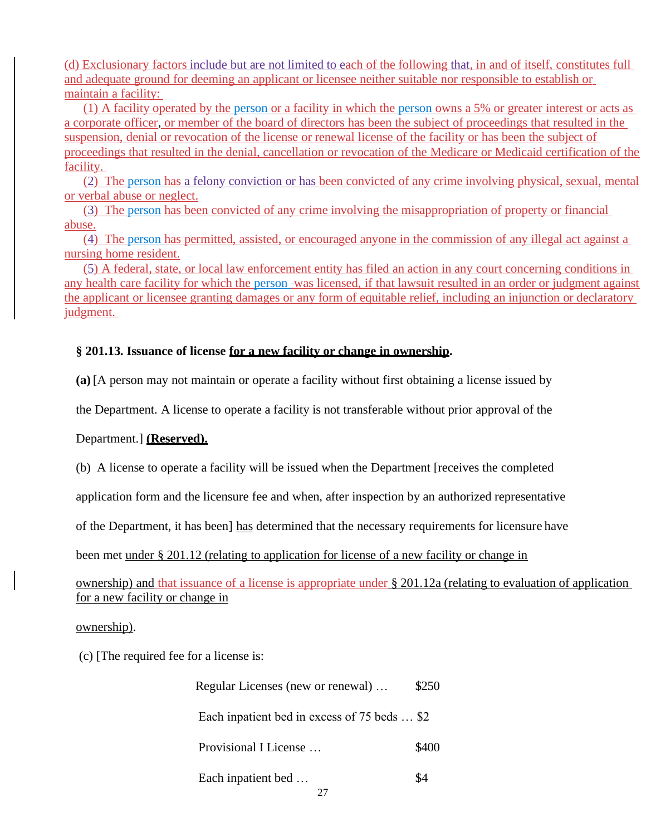(d) Exclusionary factors include but are not limited to each of the following that, in and of itself, constitutes full and adequate ground for deeming an applicant or licensee neither suitable nor responsible to establish or maintain a facility:

(1) A facility operated by the person or a facility in which the person owns a 5% or greater interest or acts as a corporate officer, or member of the board of directors has been the subject of proceedings that resulted in the suspension, denial or revocation of the license or renewal license of the facility or has been the subject of proceedings that resulted in the denial, cancellation or revocation of the Medicare or Medicaid certification of the facility.

(2) The person has a felony conviction or has been convicted of any crime involving physical, sexual, mental or verbal abuse or neglect.

(3) The person has been convicted of any crime involving the misappropriation of property or financial abuse.

(4) The person has permitted, assisted, or encouraged anyone in the commission of any illegal act against a nursing home resident.

(5) A federal, state, or local law enforcement entity has filed an action in any court concerning conditions in any health care facility for which the person was licensed, if that lawsuit resulted in an order or judgment against the applicant or licensee granting damages or any form of equitable relief, including an injunction or declaratory judgment.

# **§ 201.13. Issuance of license for a new facility or change in ownership.**

**(a)** [A person may not maintain or operate a facility without first obtaining a license issued by

the Department. A license to operate a facility is not transferable without prior approval of the

## Department.] **(Reserved).**

(b) A license to operate a facility will be issued when the Department [receives the completed

application form and the licensure fee and when, after inspection by an authorized representative

of the Department, it has been] has determined that the necessary requirements for licensure have

been met under § 201.12 (relating to application for license of a new facility or change in

ownership) and that issuance of a license is appropriate under § 201.12a (relating to evaluation of application for a new facility or change in

## ownership).

(c) [The required fee for a license is:

| Regular Licenses (new or renewal)            | \$250 |
|----------------------------------------------|-------|
| Each inpatient bed in excess of 75 beds  \$2 |       |
| Provisional I License                        | \$400 |
| Each inpatient bed                           | \$4   |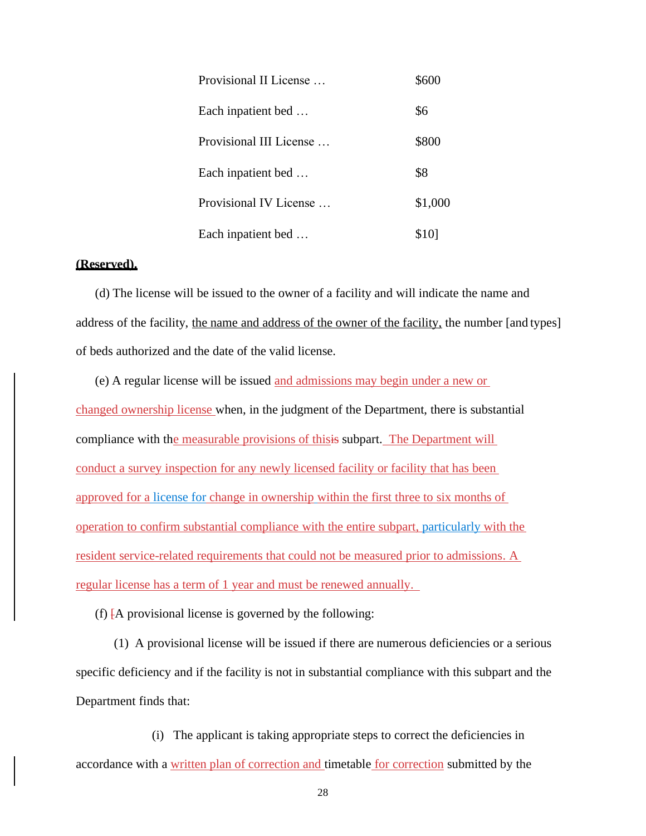| Provisional II License  | \$600   |
|-------------------------|---------|
| Each inpatient bed      | \$6     |
| Provisional III License | \$800   |
| Each inpatient bed      | \$8     |
| Provisional IV License  | \$1,000 |
| Each inpatient bed      | \$101   |

#### **(Reserved).**

(d) The license will be issued to the owner of a facility and will indicate the name and address of the facility, the name and address of the owner of the facility, the number [and types] of beds authorized and the date of the valid license.

(e) A regular license will be issued and admissions may begin under a new or changed ownership license when, in the judgment of the Department, there is substantial compliance with the measurable provisions of thisis subpart. The Department will conduct a survey inspection for any newly licensed facility or facility that has been approved for a license for change in ownership within the first three to six months of operation to confirm substantial compliance with the entire subpart, particularly with the resident service-related requirements that could not be measured prior to admissions. A regular license has a term of 1 year and must be renewed annually.

(f)  $\overline{A}$  provisional license is governed by the following:

(1) A provisional license will be issued if there are numerous deficiencies or a serious specific deficiency and if the facility is not in substantial compliance with this subpart and the Department finds that:

(i) The applicant is taking appropriate steps to correct the deficiencies in accordance with a written plan of correction and timetable for correction submitted by the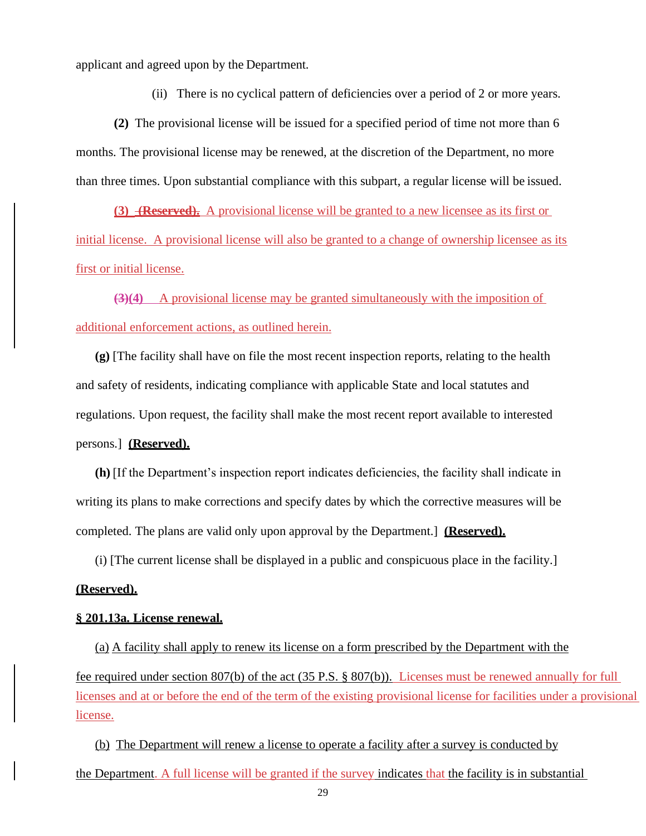applicant and agreed upon by the Department.

(ii) There is no cyclical pattern of deficiencies over a period of 2 or more years.

**(2)** The provisional license will be issued for a specified period of time not more than 6 months. The provisional license may be renewed, at the discretion of the Department, no more than three times. Upon substantial compliance with this subpart, a regular license will be issued.

**(3) (Reserved).** A provisional license will be granted to a new licensee as its first or initial license. A provisional license will also be granted to a change of ownership licensee as its first or initial license.

**(3)(4)** A provisional license may be granted simultaneously with the imposition of additional enforcement actions, as outlined herein.

**(g)** [The facility shall have on file the most recent inspection reports, relating to the health and safety of residents, indicating compliance with applicable State and local statutes and regulations. Upon request, the facility shall make the most recent report available to interested persons.] **(Reserved).**

**(h)** [If the Department's inspection report indicates deficiencies, the facility shall indicate in writing its plans to make corrections and specify dates by which the corrective measures will be completed. The plans are valid only upon approval by the Department.] **(Reserved).**

(i) [The current license shall be displayed in a public and conspicuous place in the facility.]

## **(Reserved).**

#### **§ 201.13a. License renewal.**

(a) A facility shall apply to renew its license on a form prescribed by the Department with the fee required under section 807(b) of the act (35 P.S. § 807(b)). Licenses must be renewed annually for full licenses and at or before the end of the term of the existing provisional license for facilities under a provisional license.

(b) The Department will renew a license to operate a facility after a survey is conducted by the Department. A full license will be granted if the survey indicates that the facility is in substantial

29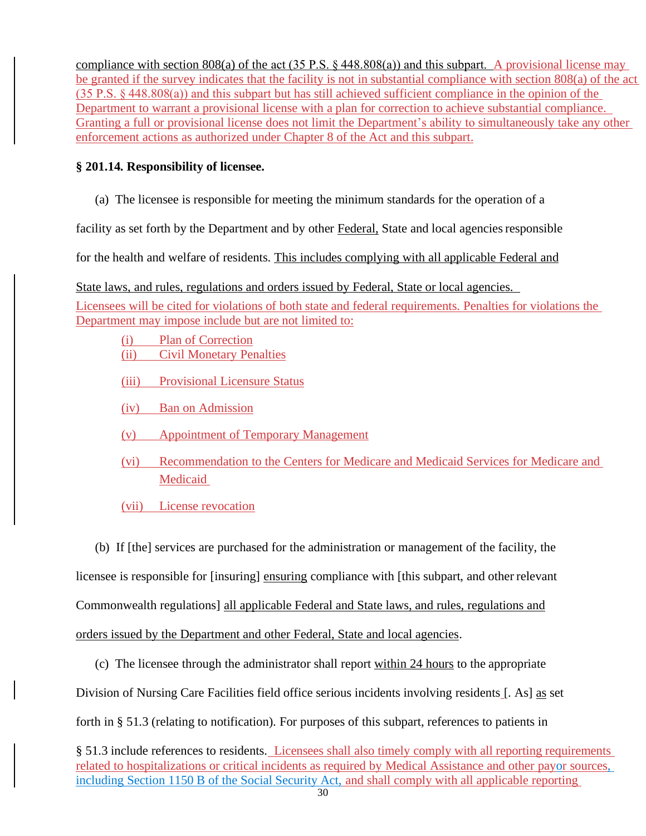compliance with section 808(a) of the act (35 P.S.  $\S$  448.808(a)) and this subpart. A provisional license may be granted if the survey indicates that the facility is not in substantial compliance with section 808(a) of the act (35 P.S. § 448.808(a)) and this subpart but has still achieved sufficient compliance in the opinion of the Department to warrant a provisional license with a plan for correction to achieve substantial compliance. Granting a full or provisional license does not limit the Department's ability to simultaneously take any other enforcement actions as authorized under Chapter 8 of the Act and this subpart.

# **§ 201.14. Responsibility of licensee.**

(a) The licensee is responsible for meeting the minimum standards for the operation of a

facility as set forth by the Department and by other Federal, State and local agencies responsible

for the health and welfare of residents. This includes complying with all applicable Federal and

State laws, and rules, regulations and orders issued by Federal, State or local agencies.

Licensees will be cited for violations of both state and federal requirements. Penalties for violations the Department may impose include but are not limited to:

- (i) Plan of Correction (ii) Civil Monetary Penalties
- (iii) Provisional Licensure Status
- (iv) Ban on Admission
- (v) Appointment of Temporary Management
- (vi) Recommendation to the Centers for Medicare and Medicaid Services for Medicare and Medicaid
- (vii) License revocation

(b) If [the] services are purchased for the administration or management of the facility, the

licensee is responsible for [insuring] ensuring compliance with [this subpart, and other relevant

Commonwealth regulations] all applicable Federal and State laws, and rules, regulations and

orders issued by the Department and other Federal, State and local agencies.

(c) The licensee through the administrator shall report within 24 hours to the appropriate

Division of Nursing Care Facilities field office serious incidents involving residents [. As] as set

forth in § 51.3 (relating to notification). For purposes of this subpart, references to patients in

§ 51.3 include references to residents. Licensees shall also timely comply with all reporting requirements related to hospitalizations or critical incidents as required by Medical Assistance and other payor sources, including Section 1150 B of the Social Security Act, and shall comply with all applicable reporting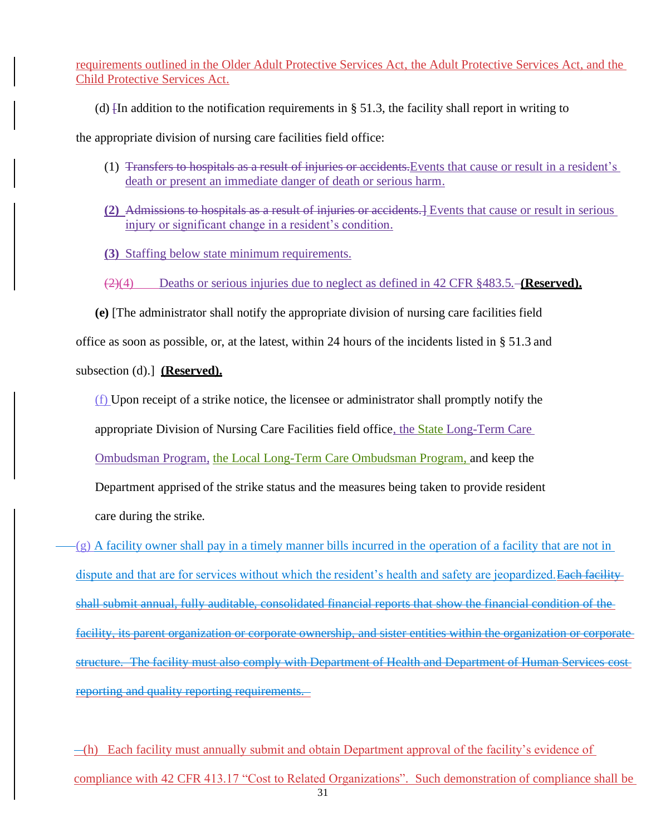requirements outlined in the Older Adult Protective Services Act, the Adult Protective Services Act, and the Child Protective Services Act.

(d)  $\overline{I}$  and  $\overline{I}$  and  $\overline{I}$  to the notification requirements in § 51.3, the facility shall report in writing to

the appropriate division of nursing care facilities field office:

- (1) Transfers to hospitals as a result of injuries or accidents.Events that cause or result in a resident's death or present an immediate danger of death or serious harm.
- **(2)** Admissions to hospitals as a result of injuries or accidents.] Events that cause or result in serious injury or significant change in a resident's condition.
- **(3)** Staffing below state minimum requirements.

(2)(4) Deaths or serious injuries due to neglect as defined in 42 CFR §483.5. **(Reserved).**

**(e)** [The administrator shall notify the appropriate division of nursing care facilities field office as soon as possible, or, at the latest, within 24 hours of the incidents listed in § 51.3 and

subsection (d).] **(Reserved).**

(f) Upon receipt of a strike notice, the licensee or administrator shall promptly notify the

appropriate Division of Nursing Care Facilities field office, the State Long-Term Care

Ombudsman Program, the Local Long-Term Care Ombudsman Program, and keep the

Department apprised of the strike status and the measures being taken to provide resident

care during the strike.

(g) A facility owner shall pay in a timely manner bills incurred in the operation of a facility that are not in dispute and that are for services without which the resident's health and safety are jeopardized. Each facility shall submit annual, fully auditable, consolidated financial reports that show the financial condition of the facility, its parent organization or corporate ownership, and sister entities within the organization or corporate structure. The facility must also comply with Department of Health and Department of Human Services cost reporting and quality reporting requirements.

31  $-(h)$  Each facility must annually submit and obtain Department approval of the facility's evidence of compliance with 42 CFR 413.17 "Cost to Related Organizations". Such demonstration of compliance shall be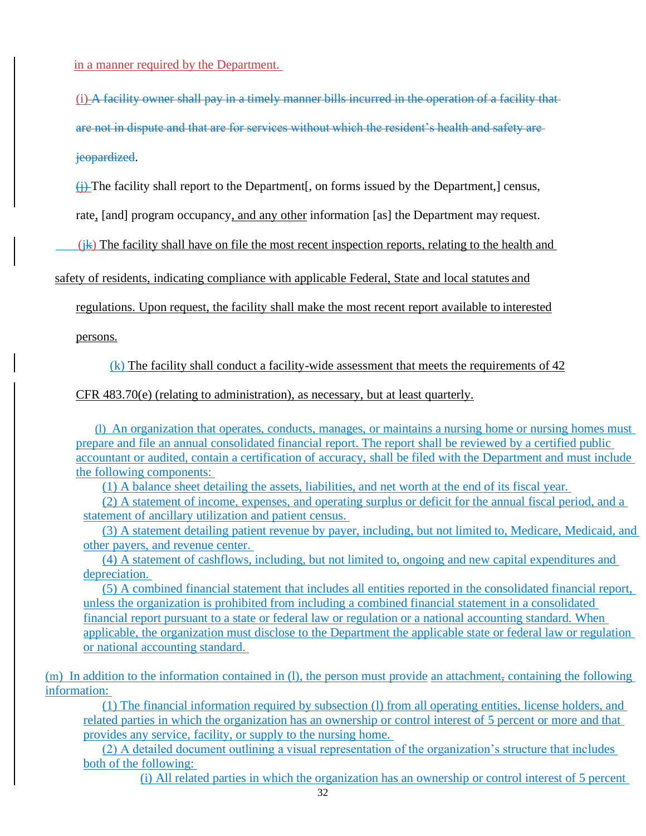in a manner required by the Department.

(i) A facility owner shall pay in a timely manner bills incurred in the operation of a facility that are not in dispute and that are for services without which the resident's health and safety are

jeopardized.

(j) The facility shall report to the Department[, on forms issued by the Department,] census,

rate, [and] program occupancy, and any other information [as] the Department may request.

 $(k)$  The facility shall have on file the most recent inspection reports, relating to the health and

safety of residents, indicating compliance with applicable Federal, State and local statutes and

regulations. Upon request, the facility shall make the most recent report available to interested

persons.

(k) The facility shall conduct a facility-wide assessment that meets the requirements of 42

CFR 483.70(e) (relating to administration), as necessary, but at least quarterly.

(l) An organization that operates, conducts, manages, or maintains a nursing home or nursing homes must prepare and file an annual consolidated financial report. The report shall be reviewed by a certified public accountant or audited, contain a certification of accuracy, shall be filed with the Department and must include the following components:

(1) A balance sheet detailing the assets, liabilities, and net worth at the end of its fiscal year.

(2) A statement of income, expenses, and operating surplus or deficit for the annual fiscal period, and a statement of ancillary utilization and patient census.

(3) A statement detailing patient revenue by payer, including, but not limited to, Medicare, Medicaid, and other payers, and revenue center.

(4) A statement of cashflows, including, but not limited to, ongoing and new capital expenditures and depreciation.

(5) A combined financial statement that includes all entities reported in the consolidated financial report, unless the organization is prohibited from including a combined financial statement in a consolidated financial report pursuant to a state or federal law or regulation or a national accounting standard. When applicable, the organization must disclose to the Department the applicable state or federal law or regulation or national accounting standard.

(m) In addition to the information contained in (l), the person must provide an attachment, containing the following information:

(1) The financial information required by subsection (l) from all operating entities, license holders, and related parties in which the organization has an ownership or control interest of 5 percent or more and that provides any service, facility, or supply to the nursing home.

(2) A detailed document outlining a visual representation of the organization's structure that includes both of the following:

(i) All related parties in which the organization has an ownership or control interest of 5 percent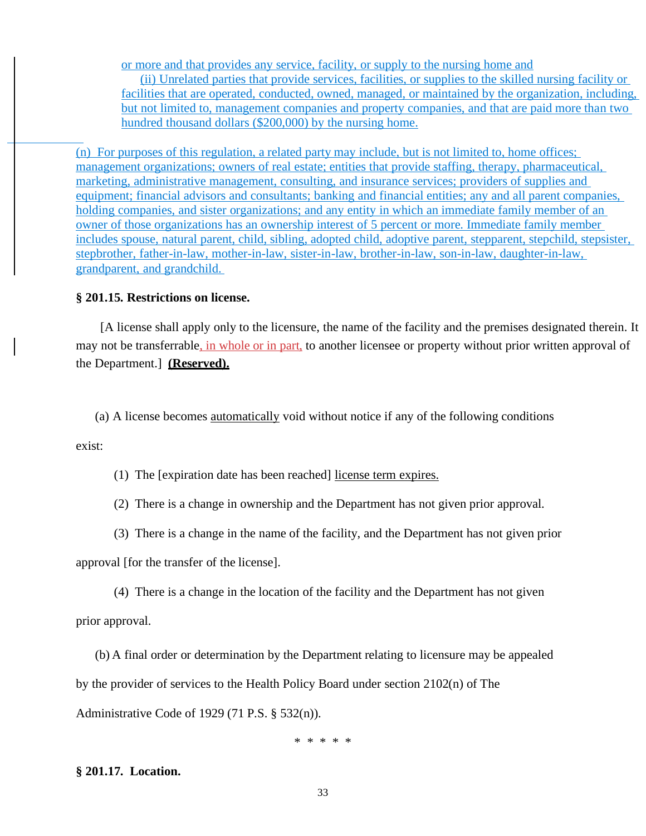or more and that provides any service, facility, or supply to the nursing home and (ii) Unrelated parties that provide services, facilities, or supplies to the skilled nursing facility or

facilities that are operated, conducted, owned, managed, or maintained by the organization, including, but not limited to, management companies and property companies, and that are paid more than two hundred thousand dollars (\$200,000) by the nursing home.

(n) For purposes of this regulation, a related party may include, but is not limited to, home offices; management organizations; owners of real estate; entities that provide staffing, therapy, pharmaceutical, marketing, administrative management, consulting, and insurance services; providers of supplies and equipment; financial advisors and consultants; banking and financial entities; any and all parent companies, holding companies, and sister organizations; and any entity in which an immediate family member of an owner of those organizations has an ownership interest of 5 percent or more. Immediate family member includes spouse, natural parent, child, sibling, adopted child, adoptive parent, stepparent, stepchild, stepsister, stepbrother, father-in-law, mother-in-law, sister-in-law, brother-in-law, son-in-law, daughter-in-law, grandparent, and grandchild.

## **[§ 201.15. Restrictions on license.](https://www.pacode.com/secure/data/028/chapter201/s201.15.html)**

[A license shall apply only to the licensure, the name of the facility and the premises designated therein. It may not be transferrable, in whole or in part, to another licensee or property without prior written approval of the Department.] **(Reserved).**

(a) A license becomes automatically void without notice if any of the following conditions

exist:

(1) The [expiration date has been reached] license term expires.

(2) There is a change in ownership and the Department has not given prior approval.

(3) There is a change in the name of the facility, and the Department has not given prior

approval [for the transfer of the license].

(4) There is a change in the location of the facility and the Department has not given

prior approval.

(b) A final order or determination by the Department relating to licensure may be appealed by the provider of services to the Health Policy Board under section 2102(n) of The Administrative Code of 1929 (71 P.S. § 532(n)).

\* \* \* \* \*

## **§ 201.17. Location.**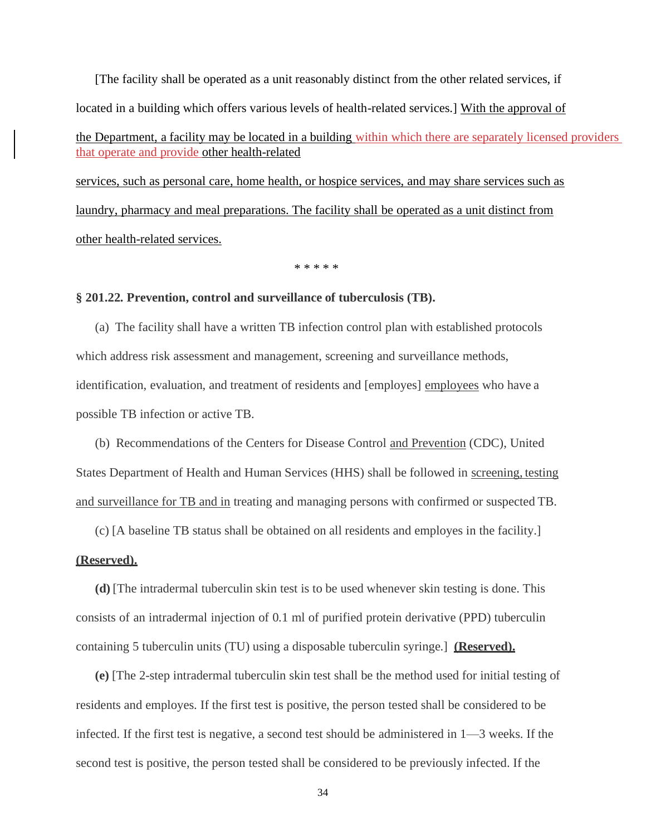[The facility shall be operated as a unit reasonably distinct from the other related services, if located in a building which offers various levels of health-related services.] With the approval of the Department, a facility may be located in a building within which there are separately licensed providers that operate and provide other health-related

services, such as personal care, home health, or hospice services, and may share services such as laundry, pharmacy and meal preparations. The facility shall be operated as a unit distinct from other health-related services.

\* \* \* \* \*

## **§ 201.22. Prevention, control and surveillance of tuberculosis (TB).**

(a) The facility shall have a written TB infection control plan with established protocols which address risk assessment and management, screening and surveillance methods, identification, evaluation, and treatment of residents and [employes] employees who have a possible TB infection or active TB.

(b) Recommendations of the Centers for Disease Control and Prevention (CDC), United States Department of Health and Human Services (HHS) shall be followed in screening, testing and surveillance for TB and in treating and managing persons with confirmed or suspected TB.

(c) [A baseline TB status shall be obtained on all residents and employes in the facility.]

#### **(Reserved).**

**(d)** [The intradermal tuberculin skin test is to be used whenever skin testing is done. This consists of an intradermal injection of 0.1 ml of purified protein derivative (PPD) tuberculin containing 5 tuberculin units (TU) using a disposable tuberculin syringe.] **(Reserved).**

**(e)** [The 2-step intradermal tuberculin skin test shall be the method used for initial testing of residents and employes. If the first test is positive, the person tested shall be considered to be infected. If the first test is negative, a second test should be administered in 1—3 weeks. If the second test is positive, the person tested shall be considered to be previously infected. If the

34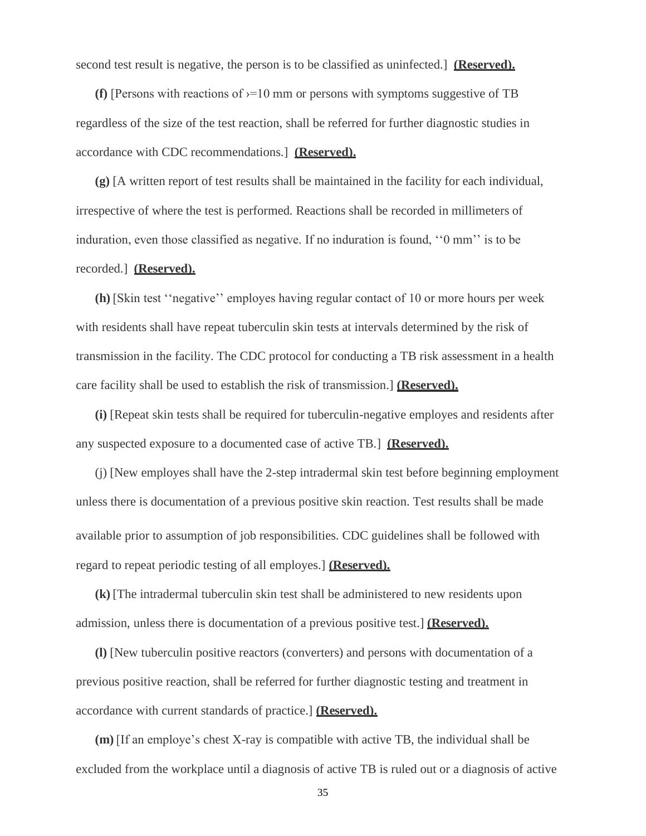second test result is negative, the person is to be classified as uninfected.] **(Reserved).**

**(f)** [Persons with reactions of  $\gamma = 10$  mm or persons with symptoms suggestive of TB regardless of the size of the test reaction, shall be referred for further diagnostic studies in accordance with CDC recommendations.] **(Reserved).**

**(g)** [A written report of test results shall be maintained in the facility for each individual, irrespective of where the test is performed. Reactions shall be recorded in millimeters of induration, even those classified as negative. If no induration is found, ''0 mm'' is to be recorded.] **(Reserved).**

**(h)** [Skin test ''negative'' employes having regular contact of 10 or more hours per week with residents shall have repeat tuberculin skin tests at intervals determined by the risk of transmission in the facility. The CDC protocol for conducting a TB risk assessment in a health care facility shall be used to establish the risk of transmission.] **(Reserved).**

**(i)** [Repeat skin tests shall be required for tuberculin-negative employes and residents after any suspected exposure to a documented case of active TB.] **(Reserved).**

(j) [New employes shall have the 2-step intradermal skin test before beginning employment unless there is documentation of a previous positive skin reaction. Test results shall be made available prior to assumption of job responsibilities. CDC guidelines shall be followed with regard to repeat periodic testing of all employes.] **(Reserved).**

**(k)** [The intradermal tuberculin skin test shall be administered to new residents upon admission, unless there is documentation of a previous positive test.] **(Reserved).**

**(l)** [New tuberculin positive reactors (converters) and persons with documentation of a previous positive reaction, shall be referred for further diagnostic testing and treatment in accordance with current standards of practice.] **(Reserved).**

**(m)** [If an employe's chest X-ray is compatible with active TB, the individual shall be excluded from the workplace until a diagnosis of active TB is ruled out or a diagnosis of active

35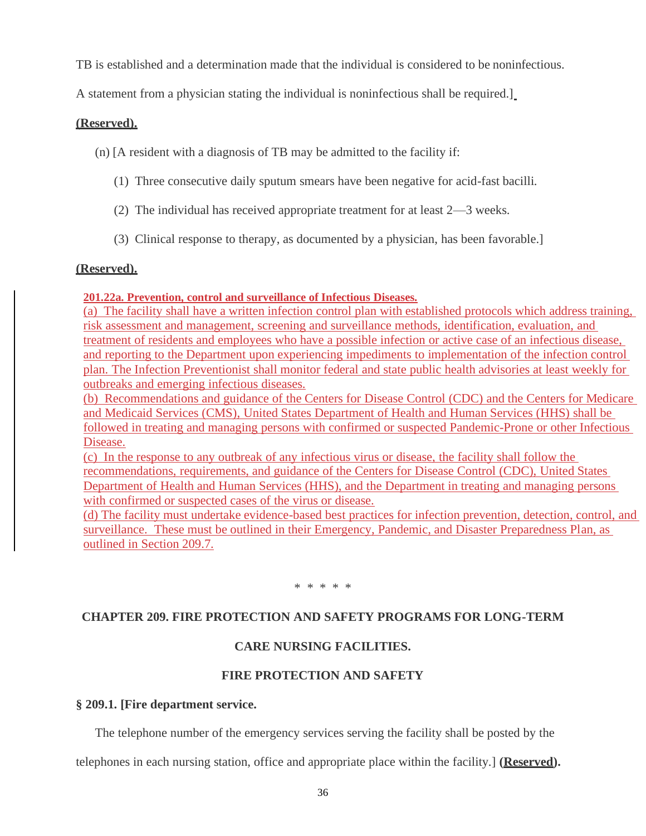TB is established and a determination made that the individual is considered to be noninfectious.

A statement from a physician stating the individual is noninfectious shall be required.]

## **(Reserved).**

(n) [A resident with a diagnosis of TB may be admitted to the facility if:

- (1) Three consecutive daily sputum smears have been negative for acid-fast bacilli.
- (2) The individual has received appropriate treatment for at least 2—3 weeks.
- (3) Clinical response to therapy, as documented by a physician, has been favorable.]

## **(Reserved).**

## **201.22a. Prevention, control and surveillance of Infectious Diseases.**

(a) The facility shall have a written infection control plan with established protocols which address training, risk assessment and management, screening and surveillance methods, identification, evaluation, and treatment of residents and employees who have a possible infection or active case of an infectious disease, and reporting to the Department upon experiencing impediments to implementation of the infection control plan. The Infection Preventionist shall monitor federal and state public health advisories at least weekly for outbreaks and emerging infectious diseases.

(b) Recommendations and guidance of the Centers for Disease Control (CDC) and the Centers for Medicare and Medicaid Services (CMS), United States Department of Health and Human Services (HHS) shall be followed in treating and managing persons with confirmed or suspected Pandemic-Prone or other Infectious Disease.

(c) In the response to any outbreak of any infectious virus or disease, the facility shall follow the recommendations, requirements, and guidance of the Centers for Disease Control (CDC), United States Department of Health and Human Services (HHS), and the Department in treating and managing persons with confirmed or suspected cases of the virus or disease.

(d) The facility must undertake evidence-based best practices for infection prevention, detection, control, and surveillance. These must be outlined in their Emergency, Pandemic, and Disaster Preparedness Plan, as outlined in Section 209.7.

\* \* \* \* \*

# **CHAPTER 209. FIRE PROTECTION AND SAFETY PROGRAMS FOR LONG-TERM**

# **CARE NURSING FACILITIES.**

## **FIRE PROTECTION AND SAFETY**

## **§ 209.1. [Fire department service.**

The telephone number of the emergency services serving the facility shall be posted by the

telephones in each nursing station, office and appropriate place within the facility.] **(Reserved).**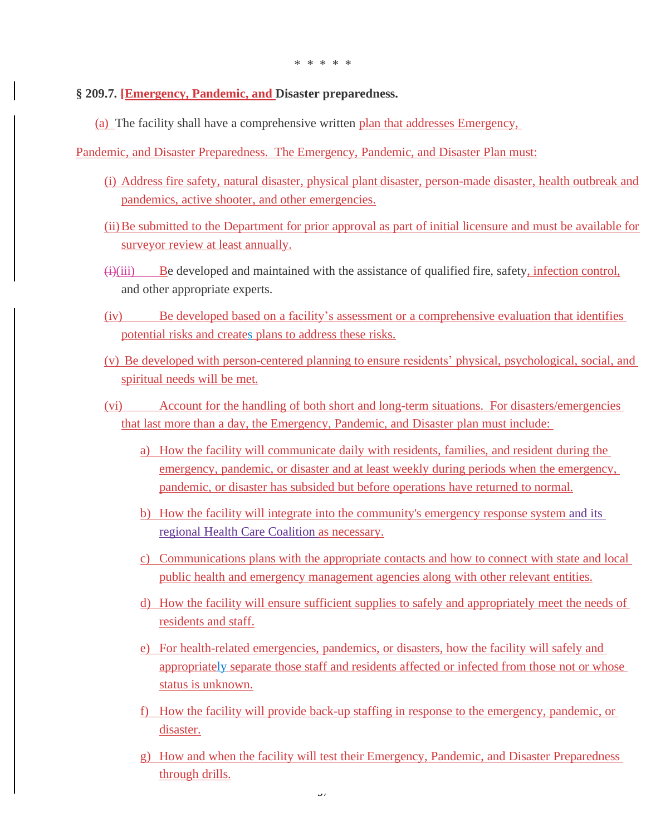## **§ 209.7. [Emergency, Pandemic, and Disaster preparedness.**

(a) The facility shall have a comprehensive written plan that addresses Emergency,

Pandemic, and Disaster Preparedness. The Emergency, Pandemic, and Disaster Plan must:

- (i) Address fire safety, natural disaster, physical plant disaster, person-made disaster, health outbreak and pandemics, active shooter, and other emergencies.
- (ii)Be submitted to the Department for prior approval as part of initial licensure and must be available for surveyor review at least annually.
- $\frac{f(x)}{f(x)}$  Be developed and maintained with the assistance of qualified fire, safety, infection control, and other appropriate experts.
- (iv) Be developed based on a facility's assessment or a comprehensive evaluation that identifies potential risks and creates plans to address these risks.
- (v) Be developed with person-centered planning to ensure residents' physical, psychological, social, and spiritual needs will be met.
- (vi) Account for the handling of both short and long-term situations. For disasters/emergencies that last more than a day, the Emergency, Pandemic, and Disaster plan must include:
	- a) How the facility will communicate daily with residents, families, and resident during the emergency, pandemic, or disaster and at least weekly during periods when the emergency, pandemic, or disaster has subsided but before operations have returned to normal.
	- b) How the facility will integrate into the community's emergency response system and its regional Health Care Coalition as necessary.
	- c) Communications plans with the appropriate contacts and how to connect with state and local public health and emergency management agencies along with other relevant entities.
	- d) How the facility will ensure sufficient supplies to safely and appropriately meet the needs of residents and staff.
	- e) For health-related emergencies, pandemics, or disasters, how the facility will safely and appropriately separate those staff and residents affected or infected from those not or whose status is unknown.
	- f) How the facility will provide back-up staffing in response to the emergency, pandemic, or disaster.
	- g) How and when the facility will test their Emergency, Pandemic, and Disaster Preparedness through drills.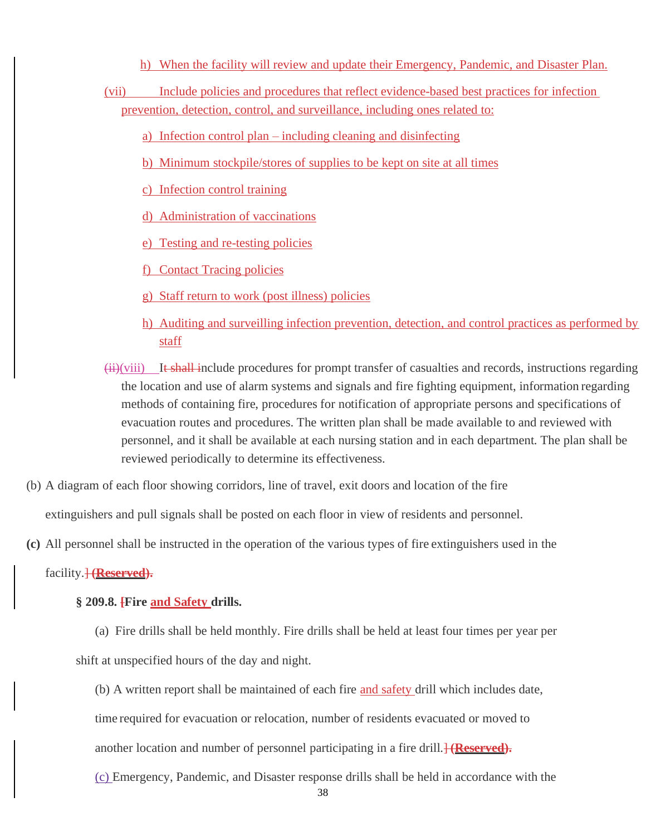- h) When the facility will review and update their Emergency, Pandemic, and Disaster Plan.
- (vii) Include policies and procedures that reflect evidence-based best practices for infection prevention, detection, control, and surveillance, including ones related to:
	- a) Infection control plan including cleaning and disinfecting
	- b) Minimum stockpile/stores of supplies to be kept on site at all times
	- c) Infection control training
	- d) Administration of vaccinations
	- e) Testing and re-testing policies
	- f) Contact Tracing policies
	- g) Staff return to work (post illness) policies
	- h) Auditing and surveilling infection prevention, detection, and control practices as performed by staff
- (ii)(viii) It shall include procedures for prompt transfer of casualties and records, instructions regarding the location and use of alarm systems and signals and fire fighting equipment, information regarding methods of containing fire, procedures for notification of appropriate persons and specifications of evacuation routes and procedures. The written plan shall be made available to and reviewed with personnel, and it shall be available at each nursing station and in each department. The plan shall be reviewed periodically to determine its effectiveness.
- (b) A diagram of each floor showing corridors, line of travel, exit doors and location of the fire

extinguishers and pull signals shall be posted on each floor in view of residents and personnel.

**(c)** All personnel shall be instructed in the operation of the various types of fire extinguishers used in the

facility.<del>] (**Reserved**).</del>

## **§ 209.8. [Fire and Safety drills.**

- (a) Fire drills shall be held monthly. Fire drills shall be held at least four times per year per shift at unspecified hours of the day and night.
	- (b) A written report shall be maintained of each fire and safety drill which includes date, time required for evacuation or relocation, number of residents evacuated or moved to another location and number of personnel participating in a fire drill.<sup>1</sup> (Reserved).
	- (c) Emergency, Pandemic, and Disaster response drills shall be held in accordance with the